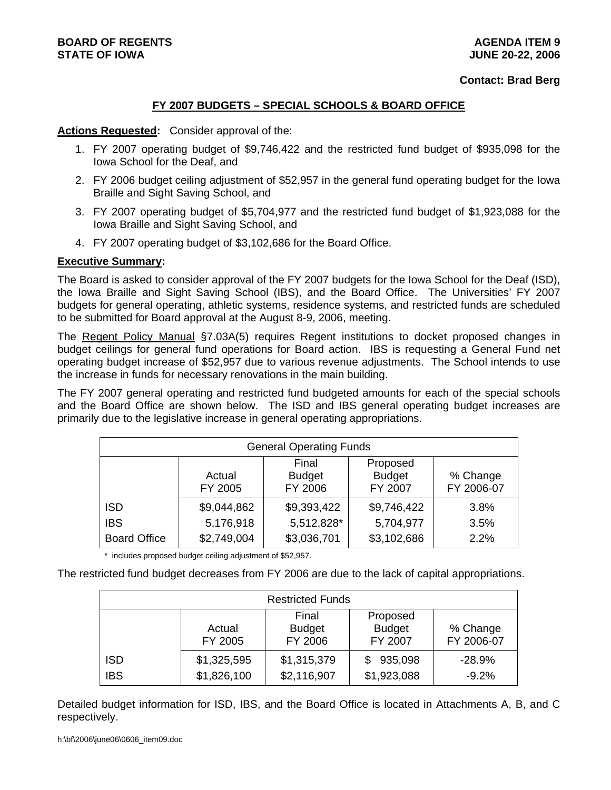#### **Contact: Brad Berg**

## **FY 2007 BUDGETS – SPECIAL SCHOOLS & BOARD OFFICE**

#### **Actions Requested:** Consider approval of the:

- 1. FY 2007 operating budget of \$9,746,422 and the restricted fund budget of \$935,098 for the Iowa School for the Deaf, and
- 2. FY 2006 budget ceiling adjustment of \$52,957 in the general fund operating budget for the Iowa Braille and Sight Saving School, and
- 3. FY 2007 operating budget of \$5,704,977 and the restricted fund budget of \$1,923,088 for the Iowa Braille and Sight Saving School, and
- 4. FY 2007 operating budget of \$3,102,686 for the Board Office.

### **Executive Summary:**

The Board is asked to consider approval of the FY 2007 budgets for the Iowa School for the Deaf (ISD), the Iowa Braille and Sight Saving School (IBS), and the Board Office. The Universities' FY 2007 budgets for general operating, athletic systems, residence systems, and restricted funds are scheduled to be submitted for Board approval at the August 8-9, 2006, meeting.

The Regent Policy Manual §7.03A(5) requires Regent institutions to docket proposed changes in budget ceilings for general fund operations for Board action. IBS is requesting a General Fund net operating budget increase of \$52,957 due to various revenue adjustments. The School intends to use the increase in funds for necessary renovations in the main building.

The FY 2007 general operating and restricted fund budgeted amounts for each of the special schools and the Board Office are shown below. The ISD and IBS general operating budget increases are primarily due to the legislative increase in general operating appropriations.

| <b>General Operating Funds</b> |                               |             |               |          |  |  |  |
|--------------------------------|-------------------------------|-------------|---------------|----------|--|--|--|
|                                | Final<br>Proposed             |             |               |          |  |  |  |
|                                | <b>Budget</b><br>Actual       |             | <b>Budget</b> | % Change |  |  |  |
|                                | FY 2006<br>FY 2007<br>FY 2005 |             |               |          |  |  |  |
| <b>ISD</b>                     | \$9,044,862                   | \$9,393,422 | \$9,746,422   | 3.8%     |  |  |  |
| <b>IBS</b>                     | 5,176,918                     | 5,512,828*  | 5,704,977     | 3.5%     |  |  |  |
| <b>Board Office</b>            | \$2,749,004                   | \$3,036,701 | \$3,102,686   | 2.2%     |  |  |  |

\* includes proposed budget ceiling adjustment of \$52,957.

The restricted fund budget decreases from FY 2006 are due to the lack of capital appropriations.

| <b>Restricted Funds</b>  |                            |                                   |                                      |                        |  |
|--------------------------|----------------------------|-----------------------------------|--------------------------------------|------------------------|--|
|                          | Actual<br>FY 2005          | Final<br><b>Budget</b><br>FY 2006 | Proposed<br><b>Budget</b><br>FY 2007 | % Change<br>FY 2006-07 |  |
| <b>ISD</b><br><b>IBS</b> | \$1,325,595<br>\$1,826,100 | \$1,315,379<br>\$2,116,907        | 935,098<br>\$1,923,088               | $-28.9%$<br>$-9.2%$    |  |

Detailed budget information for ISD, IBS, and the Board Office is located in Attachments A, B, and C respectively.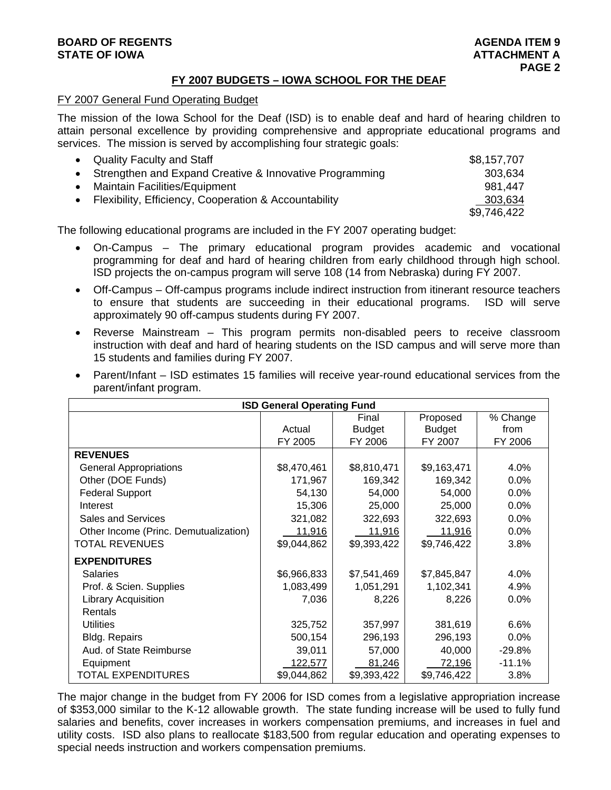### **BOARD OF REGENTS** AGENERATION OF REGENTS **STATE OF IOWA AND RESERVE A LOCAL CONSUMING A LOCAL CONSUMING A LOCAL CONSUMING A LOCAL CONSUMING A LOCAL CONSUMING A LOCAL CONSUMING A LOCAL CONSUMING A LOCAL CONSUMING A LOCAL CONSUMING A LOCAL CONSUMING A LOCAL CONSUMI**

## **FY 2007 BUDGETS – IOWA SCHOOL FOR THE DEAF**

### FY 2007 General Fund Operating Budget

The mission of the Iowa School for the Deaf (ISD) is to enable deaf and hard of hearing children to attain personal excellence by providing comprehensive and appropriate educational programs and services. The mission is served by accomplishing four strategic goals:

| • Quality Faculty and Staff                               | \$8,157,707 |
|-----------------------------------------------------------|-------------|
| • Strengthen and Expand Creative & Innovative Programming | 303,634     |
| <b>Maintain Facilities/Equipment</b>                      | 981.447     |
| Flexibility, Efficiency, Cooperation & Accountability     | 303,634     |
|                                                           | \$9,746,422 |

The following educational programs are included in the FY 2007 operating budget:

- On-Campus The primary educational program provides academic and vocational programming for deaf and hard of hearing children from early childhood through high school. ISD projects the on-campus program will serve 108 (14 from Nebraska) during FY 2007.
- Off-Campus Off-campus programs include indirect instruction from itinerant resource teachers to ensure that students are succeeding in their educational programs. ISD will serve approximately 90 off-campus students during FY 2007.
- Reverse Mainstream This program permits non-disabled peers to receive classroom instruction with deaf and hard of hearing students on the ISD campus and will serve more than 15 students and families during FY 2007.
- Parent/Infant ISD estimates 15 families will receive year-round educational services from the parent/infant program.

| <b>ISD General Operating Fund</b>     |               |               |               |          |  |
|---------------------------------------|---------------|---------------|---------------|----------|--|
|                                       |               | Final         | Proposed      | % Change |  |
|                                       | Actual        | <b>Budget</b> | <b>Budget</b> | from     |  |
|                                       | FY 2005       | FY 2006       | FY 2007       | FY 2006  |  |
| <b>REVENUES</b>                       |               |               |               |          |  |
| <b>General Appropriations</b>         | \$8,470,461   | \$8,810,471   | \$9,163,471   | 4.0%     |  |
| Other (DOE Funds)                     | 171,967       | 169,342       | 169,342       | 0.0%     |  |
| <b>Federal Support</b>                | 54,130        | 54,000        | 54,000        | 0.0%     |  |
| Interest                              | 15,306        | 25,000        | 25,000        | 0.0%     |  |
| <b>Sales and Services</b>             | 321,082       | 322,693       | 322,693       | 0.0%     |  |
| Other Income (Princ. Demutualization) | <u>11,916</u> | 11,916        | 11,916        | 0.0%     |  |
| <b>TOTAL REVENUES</b>                 | \$9,044,862   | \$9,393,422   | \$9,746,422   | 3.8%     |  |
| <b>EXPENDITURES</b>                   |               |               |               |          |  |
| <b>Salaries</b>                       | \$6,966,833   | \$7,541,469   | \$7,845,847   | 4.0%     |  |
| Prof. & Scien. Supplies               | 1,083,499     | 1,051,291     | 1,102,341     | 4.9%     |  |
| <b>Library Acquisition</b>            | 7,036         | 8,226         | 8,226         | 0.0%     |  |
| Rentals                               |               |               |               |          |  |
| <b>Utilities</b>                      | 325,752       | 357,997       | 381,619       | 6.6%     |  |
| <b>Bldg. Repairs</b>                  | 500,154       | 296,193       | 296,193       | $0.0\%$  |  |
| Aud. of State Reimburse               | 39,011        | 57,000        | 40,000        | $-29.8%$ |  |
| Equipment                             | 122,577       | 81,246        | 72,196        | $-11.1%$ |  |
| <b>TOTAL EXPENDITURES</b>             | \$9,044,862   | \$9,393,422   | \$9,746,422   | 3.8%     |  |

The major change in the budget from FY 2006 for ISD comes from a legislative appropriation increase of \$353,000 similar to the K-12 allowable growth. The state funding increase will be used to fully fund salaries and benefits, cover increases in workers compensation premiums, and increases in fuel and utility costs. ISD also plans to reallocate \$183,500 from regular education and operating expenses to special needs instruction and workers compensation premiums.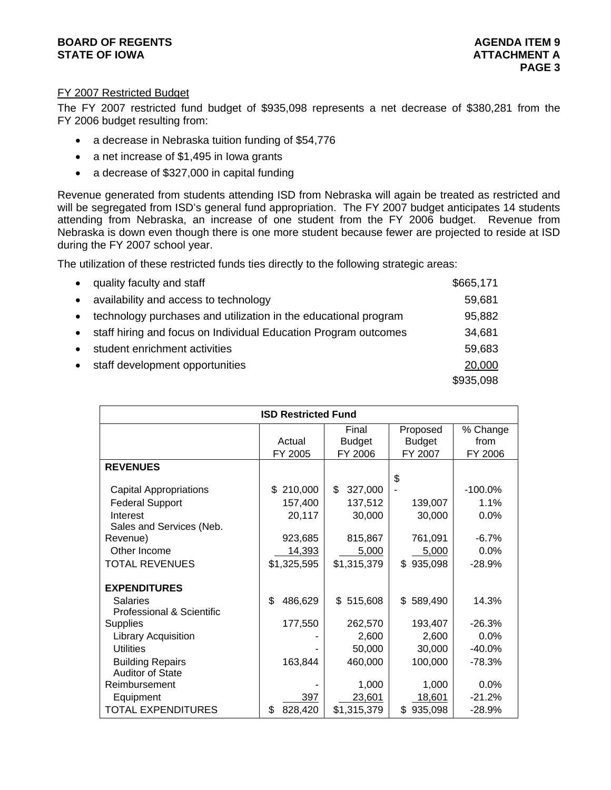## **BOARD OF REGENTS AGENUS AGENERATION CONSUMING A LIGHT AGENUA ITEM 9 STATE OF IOWA AND RESERVE A LOCAL CONSUMING A LOCAL CONSUMING A LOCAL CONSUMING A LOCAL CONSUMING A LOCAL CONSUMING A LOCAL CONSUMING A LOCAL CONSUMING A LOCAL CONSUMING A LOCAL CONSUMING A LOCAL CONSUMING A LOCAL CONSUMI**

## FY 2007 Restricted Budget

The FY 2007 restricted fund budget of \$935,098 represents a net decrease of \$380,281 from the FY 2006 budget resulting from:

- a decrease in Nebraska tuition funding of \$54,776
- a net increase of \$1,495 in lowa grants
- a decrease of \$327,000 in capital funding

Revenue generated from students attending ISD from Nebraska will again be treated as restricted and will be segregated from ISD's general fund appropriation. The FY 2007 budget anticipates 14 students attending from Nebraska, an increase of one student from the FY 2006 budget. Revenue from Nebraska is down even though there is one more student because fewer are projected to reside at ISD during the FY 2007 school year.

The utilization of these restricted funds ties directly to the following strategic areas:

| quality faculty and staff                                       | \$665,171 |
|-----------------------------------------------------------------|-----------|
| availability and access to technology                           | 59,681    |
| technology purchases and utilization in the educational program | 95,882    |
| staff hiring and focus on Individual Education Program outcomes | 34,681    |
| student enrichment activities                                   | 59,683    |
| staff development opportunities                                 | 20,000    |
|                                                                 | \$935,098 |

| <b>ISD Restricted Fund</b>    |               |               |               |           |  |
|-------------------------------|---------------|---------------|---------------|-----------|--|
|                               |               | Final         | Proposed      | % Change  |  |
|                               | Actual        | <b>Budget</b> | <b>Budget</b> | from      |  |
|                               | FY 2005       | FY 2006       | FY 2007       | FY 2006   |  |
| <b>REVENUES</b>               |               |               |               |           |  |
|                               |               |               | \$            |           |  |
| <b>Capital Appropriations</b> | 210,000<br>\$ | \$<br>327,000 |               | $-100.0%$ |  |
| <b>Federal Support</b>        | 157,400       | 137,512       | 139,007       | 1.1%      |  |
| Interest                      | 20,117        | 30,000        | 30,000        | 0.0%      |  |
| Sales and Services (Neb.      |               |               |               |           |  |
| Revenue)                      | 923,685       | 815,867       | 761,091       | $-6.7%$   |  |
| Other Income                  | 14,393        | 5,000         | 5,000         | 0.0%      |  |
| <b>TOTAL REVENUES</b>         | \$1,325,595   | \$1,315,379   | 935,098<br>\$ | $-28.9%$  |  |
|                               |               |               |               |           |  |
| <b>EXPENDITURES</b>           |               |               |               |           |  |
| <b>Salaries</b>               | \$<br>486,629 | 515,608<br>\$ | \$<br>589,490 | 14.3%     |  |
| Professional & Scientific     |               |               |               |           |  |
| <b>Supplies</b>               | 177,550       | 262,570       | 193,407       | $-26.3%$  |  |
| <b>Library Acquisition</b>    |               | 2,600         | 2,600         | 0.0%      |  |
| <b>Utilities</b>              |               | 50,000        | 30,000        | $-40.0%$  |  |
| <b>Building Repairs</b>       | 163,844       | 460,000       | 100,000       | $-78.3%$  |  |
| <b>Auditor of State</b>       |               |               |               |           |  |
| Reimbursement                 |               | 1,000         | 1,000         | 0.0%      |  |
| Equipment                     | 397           | 23,601        | 18,601        | $-21.2%$  |  |
| <b>TOTAL EXPENDITURES</b>     | 828,420<br>\$ | \$1,315,379   | 935,098<br>\$ | $-28.9%$  |  |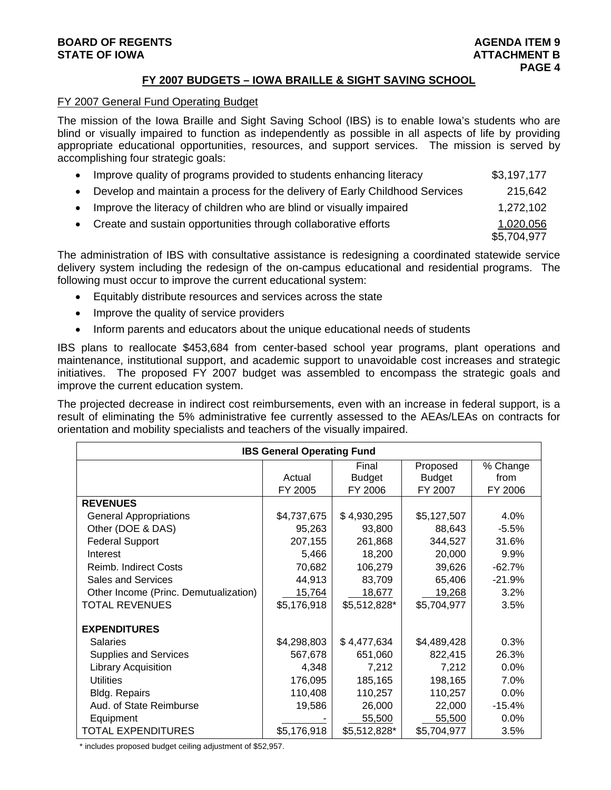## **BOARD OF REGENTS** AGENERATION OF REGENTS AGENERATION OF REGENTS AGENERATION OF REGENTS AGENERATION OF REGENTS AGENERATION OF REGENTS AGENERATION OF REGENTS AGENERATION OF REGENTS AGENERATION OF REGENTS AGENERATION OF REGE **STATE OF IOWA** AND **BUCK ATTACHMENT B**

## **FY 2007 BUDGETS – IOWA BRAILLE & SIGHT SAVING SCHOOL**

#### FY 2007 General Fund Operating Budget

The mission of the Iowa Braille and Sight Saving School (IBS) is to enable Iowa's students who are blind or visually impaired to function as independently as possible in all aspects of life by providing appropriate educational opportunities, resources, and support services. The mission is served by accomplishing four strategic goals:

| $\bullet$ | Improve quality of programs provided to students enhancing literacy         | \$3,197,177              |
|-----------|-----------------------------------------------------------------------------|--------------------------|
| $\bullet$ | Develop and maintain a process for the delivery of Early Childhood Services | 215.642                  |
| $\bullet$ | Improve the literacy of children who are blind or visually impaired         | 1,272,102                |
| $\bullet$ | Create and sustain opportunities through collaborative efforts              | 1,020,056<br>\$5,704,977 |

The administration of IBS with consultative assistance is redesigning a coordinated statewide service delivery system including the redesign of the on-campus educational and residential programs. The following must occur to improve the current educational system:

- Equitably distribute resources and services across the state
- Improve the quality of service providers
- Inform parents and educators about the unique educational needs of students

IBS plans to reallocate \$453,684 from center-based school year programs, plant operations and maintenance, institutional support, and academic support to unavoidable cost increases and strategic initiatives. The proposed FY 2007 budget was assembled to encompass the strategic goals and improve the current education system.

The projected decrease in indirect cost reimbursements, even with an increase in federal support, is a result of eliminating the 5% administrative fee currently assessed to the AEAs/LEAs on contracts for orientation and mobility specialists and teachers of the visually impaired.

| <b>IBS General Operating Fund</b>     |             |               |               |          |  |
|---------------------------------------|-------------|---------------|---------------|----------|--|
|                                       |             | Final         | Proposed      | % Change |  |
|                                       | Actual      | <b>Budget</b> | <b>Budget</b> | from     |  |
|                                       | FY 2005     | FY 2006       | FY 2007       | FY 2006  |  |
| <b>REVENUES</b>                       |             |               |               |          |  |
| <b>General Appropriations</b>         | \$4,737,675 | \$4,930,295   | \$5,127,507   | 4.0%     |  |
| Other (DOE & DAS)                     | 95,263      | 93,800        | 88,643        | $-5.5%$  |  |
| <b>Federal Support</b>                | 207,155     | 261,868       | 344,527       | 31.6%    |  |
| Interest                              | 5,466       | 18,200        | 20,000        | 9.9%     |  |
| Reimb. Indirect Costs                 | 70,682      | 106,279       | 39,626        | $-62.7%$ |  |
| <b>Sales and Services</b>             | 44,913      | 83,709        | 65,406        | $-21.9%$ |  |
| Other Income (Princ. Demutualization) | 15,764      | 18,677        | 19,268        | 3.2%     |  |
| <b>TOTAL REVENUES</b>                 | \$5,176,918 | \$5,512,828*  | \$5,704,977   | 3.5%     |  |
| <b>EXPENDITURES</b>                   |             |               |               |          |  |
| <b>Salaries</b>                       | \$4,298,803 | \$4,477,634   | \$4,489,428   | 0.3%     |  |
| <b>Supplies and Services</b>          | 567,678     | 651,060       | 822,415       | 26.3%    |  |
| <b>Library Acquisition</b>            | 4,348       | 7,212         | 7,212         | 0.0%     |  |
| <b>Utilities</b>                      | 176,095     | 185,165       | 198,165       | 7.0%     |  |
| <b>Bldg. Repairs</b>                  | 110,408     | 110,257       | 110,257       | 0.0%     |  |
| Aud. of State Reimburse               | 19,586      | 26,000        | 22,000        | $-15.4%$ |  |
| Equipment                             |             | 55,500        | 55,500        | 0.0%     |  |
| TOTAL EXPENDITURES                    | \$5,176,918 | \$5,512,828*  | \$5,704,977   | 3.5%     |  |

\* includes proposed budget ceiling adjustment of \$52,957.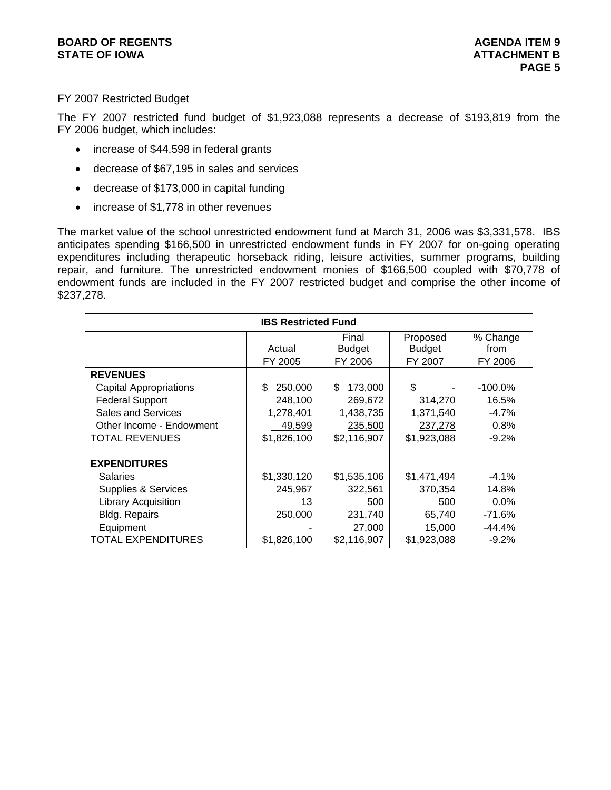## FY 2007 Restricted Budget

The FY 2007 restricted fund budget of \$1,923,088 represents a decrease of \$193,819 from the FY 2006 budget, which includes:

- increase of \$44,598 in federal grants
- decrease of \$67,195 in sales and services
- decrease of \$173,000 in capital funding
- increase of \$1,778 in other revenues

The market value of the school unrestricted endowment fund at March 31, 2006 was \$3,331,578. IBS anticipates spending \$166,500 in unrestricted endowment funds in FY 2007 for on-going operating expenditures including therapeutic horseback riding, leisure activities, summer programs, building repair, and furniture. The unrestricted endowment monies of \$166,500 coupled with \$70,778 of endowment funds are included in the FY 2007 restricted budget and comprise the other income of \$237,278.

| <b>IBS Restricted Fund</b>     |               |               |               |            |  |  |
|--------------------------------|---------------|---------------|---------------|------------|--|--|
| Proposed<br>% Change<br>Final  |               |               |               |            |  |  |
|                                | Actual        | <b>Budget</b> | <b>Budget</b> | from       |  |  |
|                                | FY 2005       | FY 2006       | FY 2007       | FY 2006    |  |  |
| <b>REVENUES</b>                |               |               |               |            |  |  |
| <b>Capital Appropriations</b>  | 250,000<br>\$ | \$<br>173,000 | \$            | $-100.0\%$ |  |  |
| <b>Federal Support</b>         | 248,100       | 269,672       | 314,270       | 16.5%      |  |  |
| Sales and Services             | 1,278,401     | 1,438,735     | 1,371,540     | $-4.7%$    |  |  |
| Other Income - Endowment       | 49,599        | 235,500       | 237,278       | 0.8%       |  |  |
| <b>TOTAL REVENUES</b>          | \$1,826,100   | \$2,116,907   | \$1,923,088   | $-9.2%$    |  |  |
|                                |               |               |               |            |  |  |
| <b>EXPENDITURES</b>            |               |               |               |            |  |  |
| <b>Salaries</b>                | \$1,330,120   | \$1,535,106   | \$1,471,494   | $-4.1%$    |  |  |
| <b>Supplies &amp; Services</b> | 245,967       | 322,561       | 370,354       | 14.8%      |  |  |
| <b>Library Acquisition</b>     | 13            | 500           | 500           | 0.0%       |  |  |
| Bldg. Repairs                  | 250,000       | 231,740       | 65,740        | $-71.6%$   |  |  |
| Equipment                      |               | 27,000        | 15,000        | -44.4%     |  |  |
| <b>TOTAL EXPENDITURES</b>      | \$1,826,100   | \$2,116,907   | \$1,923,088   | $-9.2%$    |  |  |